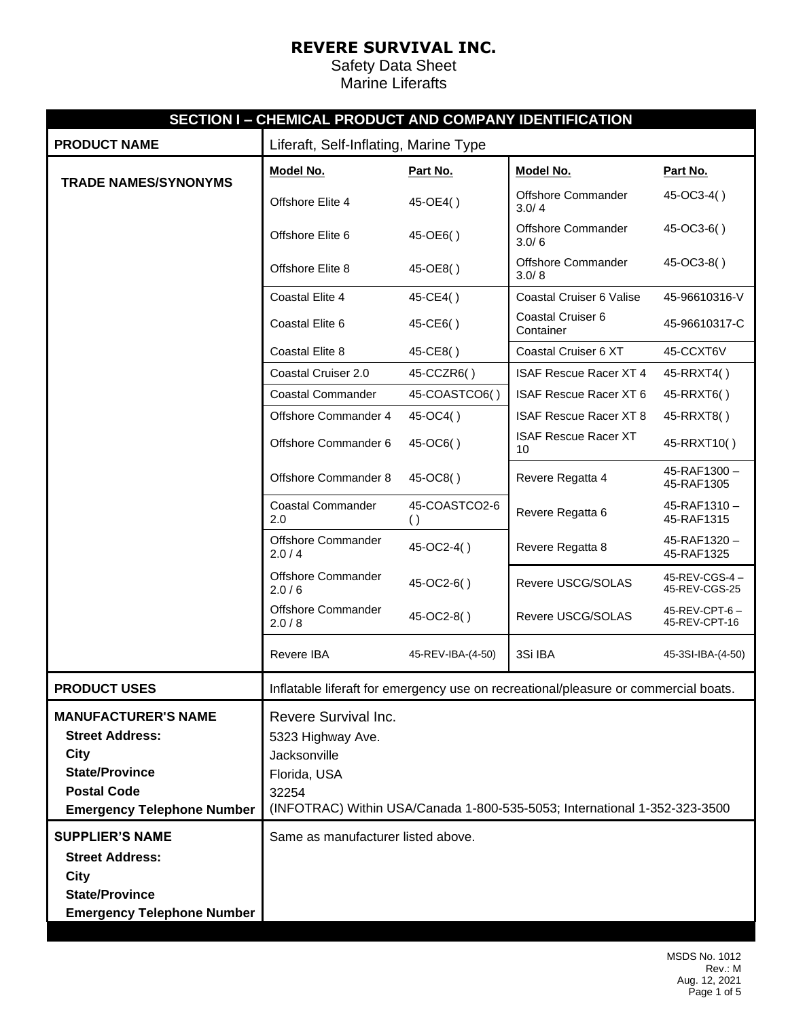|                                   | SECTION I - CHEMICAL PRODUCT AND COMPANY IDENTIFICATION                   |                                   |                                                                                     |                                |  |
|-----------------------------------|---------------------------------------------------------------------------|-----------------------------------|-------------------------------------------------------------------------------------|--------------------------------|--|
| <b>PRODUCT NAME</b>               | Liferaft, Self-Inflating, Marine Type                                     |                                   |                                                                                     |                                |  |
| <b>TRADE NAMES/SYNONYMS</b>       | Model No.                                                                 | Part No.                          | Model No.                                                                           | Part No.                       |  |
|                                   | Offshore Elite 4                                                          | 45-OE4()                          | <b>Offshore Commander</b><br>3.0/4                                                  | 45-OC3-4()                     |  |
|                                   | Offshore Elite 6                                                          | 45-OE6()                          | Offshore Commander<br>3.0/6                                                         | 45-OC3-6()                     |  |
|                                   | Offshore Elite 8                                                          | 45-OE8()                          | <b>Offshore Commander</b><br>3.0/8                                                  | 45-OC3-8()                     |  |
|                                   | Coastal Elite 4                                                           | 45-CE4()                          | Coastal Cruiser 6 Valise                                                            | 45-96610316-V                  |  |
|                                   | Coastal Elite 6                                                           | 45-CE6()                          | Coastal Cruiser 6<br>Container                                                      | 45-96610317-C                  |  |
|                                   | Coastal Elite 8                                                           | 45-CE8()                          | Coastal Cruiser 6 XT                                                                | 45-CCXT6V                      |  |
|                                   | Coastal Cruiser 2.0                                                       | 45-CCZR6()                        | <b>ISAF Rescue Racer XT 4</b>                                                       | 45-RRXT4()                     |  |
|                                   | <b>Coastal Commander</b>                                                  | 45-COASTCO6()                     | <b>ISAF Rescue Racer XT 6</b>                                                       | 45-RRXT6()                     |  |
|                                   | Offshore Commander 4                                                      | 45-OC4()                          | <b>ISAF Rescue Racer XT 8</b>                                                       | 45-RRXT8()                     |  |
|                                   | Offshore Commander 6                                                      | 45-OC6()                          | <b>ISAF Rescue Racer XT</b><br>10                                                   | 45-RRXT10()                    |  |
|                                   | Offshore Commander 8                                                      | 45-OC8()                          | Revere Regatta 4                                                                    | 45-RAF1300-<br>45-RAF1305      |  |
|                                   | <b>Coastal Commander</b><br>2.0                                           | 45-COASTCO2-6<br>$\left( \right)$ | Revere Regatta 6                                                                    | 45-RAF1310-<br>45-RAF1315      |  |
|                                   | Offshore Commander<br>2.0/4                                               | 45-OC2-4()                        | Revere Regatta 8                                                                    | 45-RAF1320-<br>45-RAF1325      |  |
|                                   | Offshore Commander<br>2.0/6                                               | 45-OC2-6()                        | Revere USCG/SOLAS                                                                   | 45-REV-CGS-4-<br>45-REV-CGS-25 |  |
|                                   | Offshore Commander<br>2.0/8                                               | 45-OC2-8()                        | Revere USCG/SOLAS                                                                   | 45-REV-CPT-6-<br>45-REV-CPT-16 |  |
|                                   | Revere IBA                                                                | 45-REV-IBA-(4-50)                 | 3Si IBA                                                                             | 45-3SI-IBA-(4-50)              |  |
| <b>PRODUCT USES</b>               |                                                                           |                                   | Inflatable liferaft for emergency use on recreational/pleasure or commercial boats. |                                |  |
| <b>MANUFACTURER'S NAME</b>        | Revere Survival Inc.                                                      |                                   |                                                                                     |                                |  |
| <b>Street Address:</b>            | 5323 Highway Ave.                                                         |                                   |                                                                                     |                                |  |
| <b>City</b>                       | Jacksonville                                                              |                                   |                                                                                     |                                |  |
| <b>State/Province</b>             | Florida, USA                                                              |                                   |                                                                                     |                                |  |
| <b>Postal Code</b>                | 32254                                                                     |                                   |                                                                                     |                                |  |
| <b>Emergency Telephone Number</b> | (INFOTRAC) Within USA/Canada 1-800-535-5053; International 1-352-323-3500 |                                   |                                                                                     |                                |  |
| <b>SUPPLIER'S NAME</b>            | Same as manufacturer listed above.                                        |                                   |                                                                                     |                                |  |
| <b>Street Address:</b>            |                                                                           |                                   |                                                                                     |                                |  |
| City                              |                                                                           |                                   |                                                                                     |                                |  |
| <b>State/Province</b>             |                                                                           |                                   |                                                                                     |                                |  |
| <b>Emergency Telephone Number</b> |                                                                           |                                   |                                                                                     |                                |  |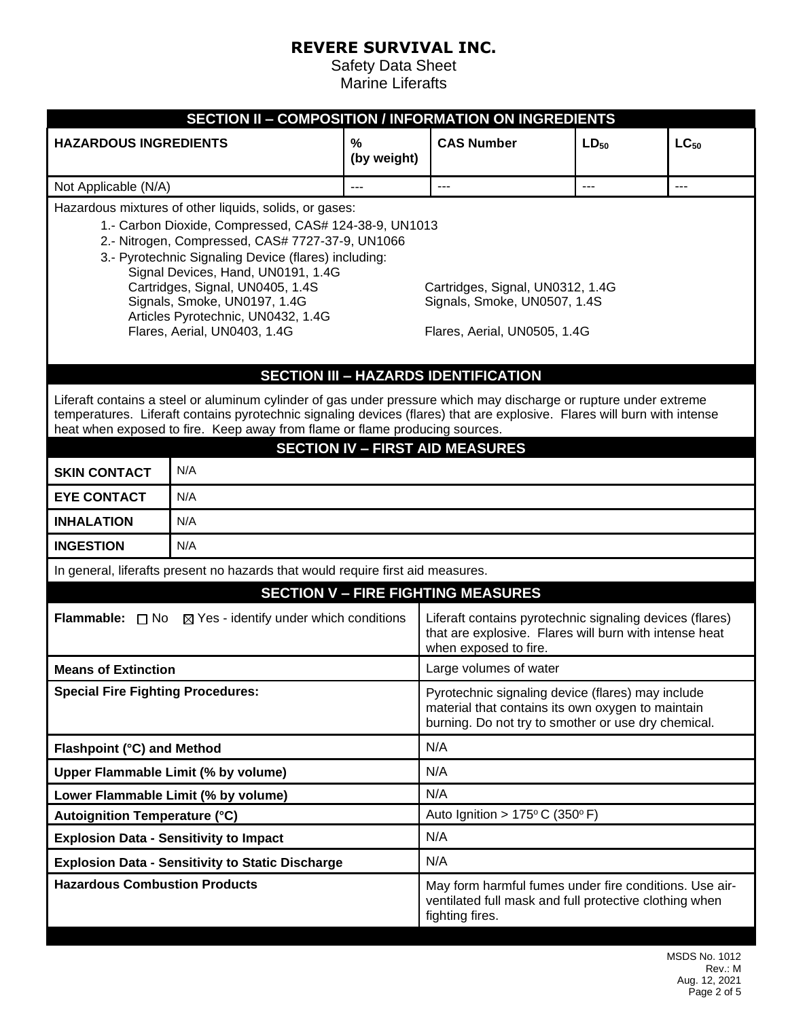| <b>SECTION II - COMPOSITION / INFORMATION ON INGREDIENTS</b>                                                                                                                                                                                                                                                                                                                                                |                                                                                 |                     |                                                                                                                                                               |           |           |  |  |
|-------------------------------------------------------------------------------------------------------------------------------------------------------------------------------------------------------------------------------------------------------------------------------------------------------------------------------------------------------------------------------------------------------------|---------------------------------------------------------------------------------|---------------------|---------------------------------------------------------------------------------------------------------------------------------------------------------------|-----------|-----------|--|--|
| <b>HAZARDOUS INGREDIENTS</b>                                                                                                                                                                                                                                                                                                                                                                                |                                                                                 | $\%$<br>(by weight) | <b>CAS Number</b>                                                                                                                                             | $LD_{50}$ | $LC_{50}$ |  |  |
| Not Applicable (N/A)                                                                                                                                                                                                                                                                                                                                                                                        |                                                                                 | $---$               | $\sim$                                                                                                                                                        | $---$     | $---$     |  |  |
| Hazardous mixtures of other liquids, solids, or gases:<br>1.- Carbon Dioxide, Compressed, CAS# 124-38-9, UN1013<br>2.- Nitrogen, Compressed, CAS# 7727-37-9, UN1066<br>3.- Pyrotechnic Signaling Device (flares) including:<br>Signal Devices, Hand, UN0191, 1.4G<br>Cartridges, Signal, UN0405, 1.4S<br>Signals, Smoke, UN0197, 1.4G<br>Articles Pyrotechnic, UN0432, 1.4G<br>Flares, Aerial, UN0403, 1.4G |                                                                                 |                     | Cartridges, Signal, UN0312, 1.4G<br>Signals, Smoke, UN0507, 1.4S<br>Flares, Aerial, UN0505, 1.4G                                                              |           |           |  |  |
|                                                                                                                                                                                                                                                                                                                                                                                                             |                                                                                 |                     | <b>SECTION III - HAZARDS IDENTIFICATION</b>                                                                                                                   |           |           |  |  |
| Liferaft contains a steel or aluminum cylinder of gas under pressure which may discharge or rupture under extreme<br>temperatures. Liferaft contains pyrotechnic signaling devices (flares) that are explosive. Flares will burn with intense<br>heat when exposed to fire. Keep away from flame or flame producing sources.<br><b>SECTION IV - FIRST AID MEASURES</b>                                      |                                                                                 |                     |                                                                                                                                                               |           |           |  |  |
| <b>SKIN CONTACT</b>                                                                                                                                                                                                                                                                                                                                                                                         | N/A                                                                             |                     |                                                                                                                                                               |           |           |  |  |
| <b>EYE CONTACT</b>                                                                                                                                                                                                                                                                                                                                                                                          | N/A                                                                             |                     |                                                                                                                                                               |           |           |  |  |
| <b>INHALATION</b>                                                                                                                                                                                                                                                                                                                                                                                           | N/A                                                                             |                     |                                                                                                                                                               |           |           |  |  |
| <b>INGESTION</b>                                                                                                                                                                                                                                                                                                                                                                                            | N/A                                                                             |                     |                                                                                                                                                               |           |           |  |  |
|                                                                                                                                                                                                                                                                                                                                                                                                             | In general, liferafts present no hazards that would require first aid measures. |                     | <b>SECTION V - FIRE FIGHTING MEASURES</b>                                                                                                                     |           |           |  |  |
| <b>Flammable:</b> $\Box$ No $\boxtimes$ Yes - identify under which conditions                                                                                                                                                                                                                                                                                                                               |                                                                                 |                     | Liferaft contains pyrotechnic signaling devices (flares)<br>that are explosive. Flares will burn with intense heat<br>when exposed to fire.                   |           |           |  |  |
| <b>Means of Extinction</b>                                                                                                                                                                                                                                                                                                                                                                                  |                                                                                 |                     | Large volumes of water                                                                                                                                        |           |           |  |  |
| <b>Special Fire Fighting Procedures:</b>                                                                                                                                                                                                                                                                                                                                                                    |                                                                                 |                     | Pyrotechnic signaling device (flares) may include<br>material that contains its own oxygen to maintain<br>burning. Do not try to smother or use dry chemical. |           |           |  |  |
| Flashpoint (°C) and Method                                                                                                                                                                                                                                                                                                                                                                                  |                                                                                 |                     | N/A                                                                                                                                                           |           |           |  |  |
| Upper Flammable Limit (% by volume)                                                                                                                                                                                                                                                                                                                                                                         |                                                                                 |                     | N/A                                                                                                                                                           |           |           |  |  |
|                                                                                                                                                                                                                                                                                                                                                                                                             | Lower Flammable Limit (% by volume)                                             |                     | N/A                                                                                                                                                           |           |           |  |  |
| <b>Autoignition Temperature (°C)</b>                                                                                                                                                                                                                                                                                                                                                                        |                                                                                 |                     | Auto Ignition > $175^{\circ}$ C (350°F)                                                                                                                       |           |           |  |  |
| <b>Explosion Data - Sensitivity to Impact</b>                                                                                                                                                                                                                                                                                                                                                               |                                                                                 |                     | N/A                                                                                                                                                           |           |           |  |  |
|                                                                                                                                                                                                                                                                                                                                                                                                             | <b>Explosion Data - Sensitivity to Static Discharge</b>                         |                     |                                                                                                                                                               | N/A       |           |  |  |
| <b>Hazardous Combustion Products</b>                                                                                                                                                                                                                                                                                                                                                                        |                                                                                 |                     | May form harmful fumes under fire conditions. Use air-<br>ventilated full mask and full protective clothing when<br>fighting fires.                           |           |           |  |  |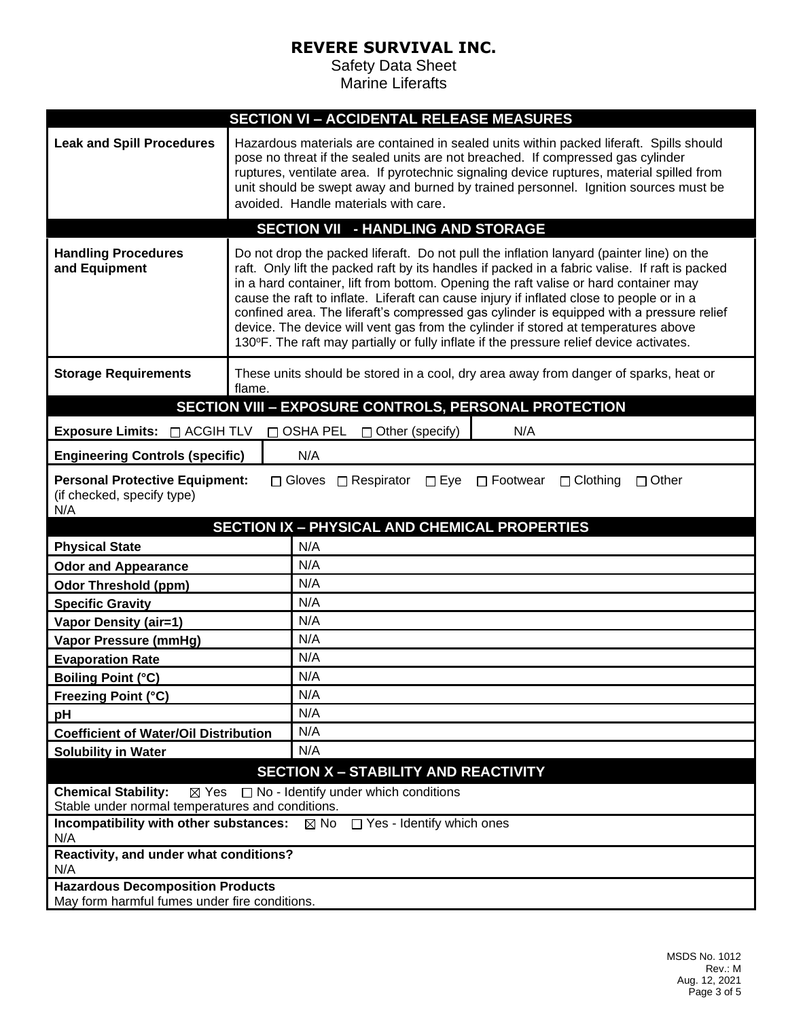| <b>SECTION VI - ACCIDENTAL RELEASE MEASURES</b>                                                                                                                            |                                                                                                                                                                                                                                                                                                                                                                                                                                                                                                                                                                                                                                                             |  |  |  |  |
|----------------------------------------------------------------------------------------------------------------------------------------------------------------------------|-------------------------------------------------------------------------------------------------------------------------------------------------------------------------------------------------------------------------------------------------------------------------------------------------------------------------------------------------------------------------------------------------------------------------------------------------------------------------------------------------------------------------------------------------------------------------------------------------------------------------------------------------------------|--|--|--|--|
| <b>Leak and Spill Procedures</b>                                                                                                                                           | Hazardous materials are contained in sealed units within packed liferaft. Spills should<br>pose no threat if the sealed units are not breached. If compressed gas cylinder<br>ruptures, ventilate area. If pyrotechnic signaling device ruptures, material spilled from<br>unit should be swept away and burned by trained personnel. Ignition sources must be<br>avoided. Handle materials with care.                                                                                                                                                                                                                                                      |  |  |  |  |
|                                                                                                                                                                            | <b>SECTION VII - HANDLING AND STORAGE</b>                                                                                                                                                                                                                                                                                                                                                                                                                                                                                                                                                                                                                   |  |  |  |  |
| <b>Handling Procedures</b><br>and Equipment                                                                                                                                | Do not drop the packed liferaft. Do not pull the inflation lanyard (painter line) on the<br>raft. Only lift the packed raft by its handles if packed in a fabric valise. If raft is packed<br>in a hard container, lift from bottom. Opening the raft valise or hard container may<br>cause the raft to inflate. Liferaft can cause injury if inflated close to people or in a<br>confined area. The liferaft's compressed gas cylinder is equipped with a pressure relief<br>device. The device will vent gas from the cylinder if stored at temperatures above<br>130°F. The raft may partially or fully inflate if the pressure relief device activates. |  |  |  |  |
| <b>Storage Requirements</b>                                                                                                                                                | These units should be stored in a cool, dry area away from danger of sparks, heat or<br>flame.                                                                                                                                                                                                                                                                                                                                                                                                                                                                                                                                                              |  |  |  |  |
|                                                                                                                                                                            | <b>SECTION VIII - EXPOSURE CONTROLS, PERSONAL PROTECTION</b>                                                                                                                                                                                                                                                                                                                                                                                                                                                                                                                                                                                                |  |  |  |  |
| Exposure Limits: $\Box$ ACGIH TLV                                                                                                                                          | OSHA PEL □ Other (specify)<br>N/A<br>$\Box$                                                                                                                                                                                                                                                                                                                                                                                                                                                                                                                                                                                                                 |  |  |  |  |
| <b>Engineering Controls (specific)</b>                                                                                                                                     | N/A                                                                                                                                                                                                                                                                                                                                                                                                                                                                                                                                                                                                                                                         |  |  |  |  |
| <b>Personal Protective Equipment:</b><br>□ Gloves □ Respirator<br>$\square$ Eye<br>$\Box$ Footwear<br>$\Box$ Clothing<br>$\Box$ Other<br>(if checked, specify type)<br>N/A |                                                                                                                                                                                                                                                                                                                                                                                                                                                                                                                                                                                                                                                             |  |  |  |  |
|                                                                                                                                                                            | <b>SECTION IX - PHYSICAL AND CHEMICAL PROPERTIES</b>                                                                                                                                                                                                                                                                                                                                                                                                                                                                                                                                                                                                        |  |  |  |  |
| <b>Physical State</b>                                                                                                                                                      | N/A                                                                                                                                                                                                                                                                                                                                                                                                                                                                                                                                                                                                                                                         |  |  |  |  |
| <b>Odor and Appearance</b>                                                                                                                                                 | N/A                                                                                                                                                                                                                                                                                                                                                                                                                                                                                                                                                                                                                                                         |  |  |  |  |
| <b>Odor Threshold (ppm)</b>                                                                                                                                                | N/A                                                                                                                                                                                                                                                                                                                                                                                                                                                                                                                                                                                                                                                         |  |  |  |  |
| <b>Specific Gravity</b>                                                                                                                                                    | N/A                                                                                                                                                                                                                                                                                                                                                                                                                                                                                                                                                                                                                                                         |  |  |  |  |
| <b>Vapor Density (air=1)</b>                                                                                                                                               | N/A                                                                                                                                                                                                                                                                                                                                                                                                                                                                                                                                                                                                                                                         |  |  |  |  |
| <b>Vapor Pressure (mmHg)</b>                                                                                                                                               | N/A                                                                                                                                                                                                                                                                                                                                                                                                                                                                                                                                                                                                                                                         |  |  |  |  |
| <b>Evaporation Rate</b>                                                                                                                                                    | N/A                                                                                                                                                                                                                                                                                                                                                                                                                                                                                                                                                                                                                                                         |  |  |  |  |
| <b>Boiling Point (°C)</b>                                                                                                                                                  | N/A                                                                                                                                                                                                                                                                                                                                                                                                                                                                                                                                                                                                                                                         |  |  |  |  |
| <b>Freezing Point (°C)</b>                                                                                                                                                 | N/A                                                                                                                                                                                                                                                                                                                                                                                                                                                                                                                                                                                                                                                         |  |  |  |  |
| pH                                                                                                                                                                         | N/A                                                                                                                                                                                                                                                                                                                                                                                                                                                                                                                                                                                                                                                         |  |  |  |  |
| <b>Coefficient of Water/Oil Distribution</b>                                                                                                                               | N/A                                                                                                                                                                                                                                                                                                                                                                                                                                                                                                                                                                                                                                                         |  |  |  |  |
| <b>Solubility in Water</b>                                                                                                                                                 | N/A                                                                                                                                                                                                                                                                                                                                                                                                                                                                                                                                                                                                                                                         |  |  |  |  |
| <b>SECTION X - STABILITY AND REACTIVITY</b>                                                                                                                                |                                                                                                                                                                                                                                                                                                                                                                                                                                                                                                                                                                                                                                                             |  |  |  |  |
| <b>Chemical Stability:</b><br>$\Box$ No - Identify under which conditions<br>$\boxtimes$ Yes                                                                               |                                                                                                                                                                                                                                                                                                                                                                                                                                                                                                                                                                                                                                                             |  |  |  |  |
| Stable under normal temperatures and conditions.<br>Incompatibility with other substances:<br>$\boxtimes$ No<br>$\Box$ Yes - Identify which ones                           |                                                                                                                                                                                                                                                                                                                                                                                                                                                                                                                                                                                                                                                             |  |  |  |  |
| N/A                                                                                                                                                                        |                                                                                                                                                                                                                                                                                                                                                                                                                                                                                                                                                                                                                                                             |  |  |  |  |
| Reactivity, and under what conditions?<br>N/A                                                                                                                              |                                                                                                                                                                                                                                                                                                                                                                                                                                                                                                                                                                                                                                                             |  |  |  |  |
| <b>Hazardous Decomposition Products</b>                                                                                                                                    |                                                                                                                                                                                                                                                                                                                                                                                                                                                                                                                                                                                                                                                             |  |  |  |  |
| May form harmful fumes under fire conditions.                                                                                                                              |                                                                                                                                                                                                                                                                                                                                                                                                                                                                                                                                                                                                                                                             |  |  |  |  |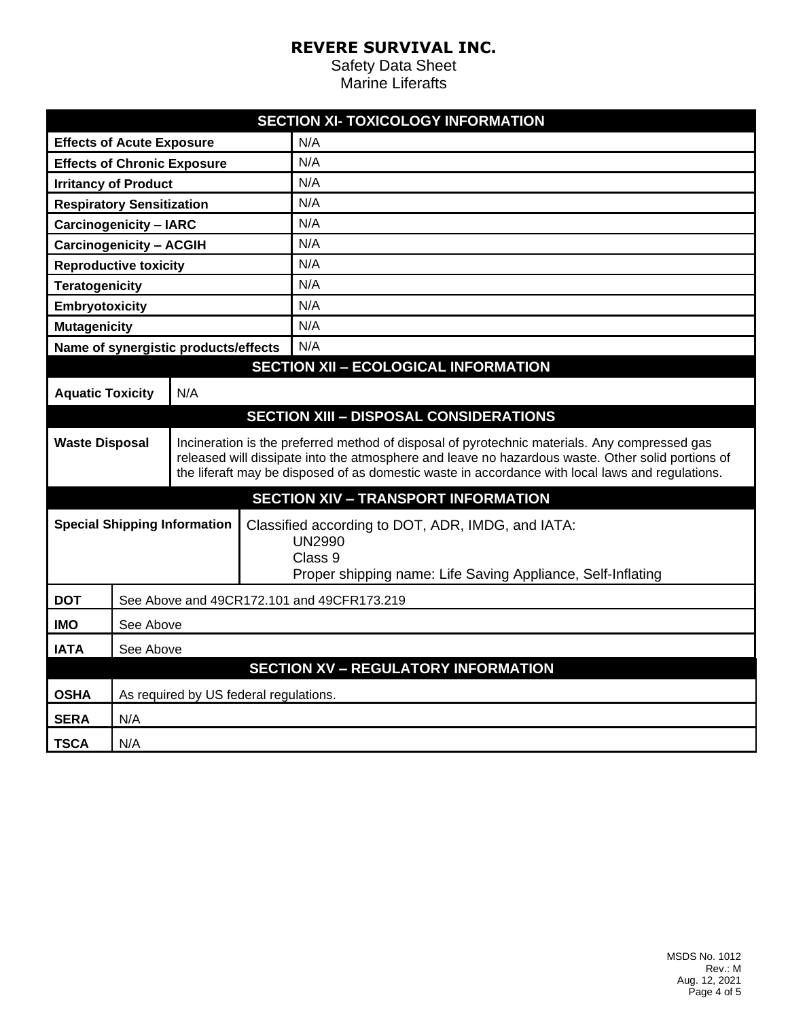| <b>SECTION XI- TOXICOLOGY INFORMATION</b>   |                                                                                                                                                                                     |  |                                                                                                                                                                                                                                                                                                        |                                               |  |
|---------------------------------------------|-------------------------------------------------------------------------------------------------------------------------------------------------------------------------------------|--|--------------------------------------------------------------------------------------------------------------------------------------------------------------------------------------------------------------------------------------------------------------------------------------------------------|-----------------------------------------------|--|
| <b>Effects of Acute Exposure</b>            |                                                                                                                                                                                     |  | N/A                                                                                                                                                                                                                                                                                                    |                                               |  |
| <b>Effects of Chronic Exposure</b>          |                                                                                                                                                                                     |  | N/A                                                                                                                                                                                                                                                                                                    |                                               |  |
| <b>Irritancy of Product</b>                 |                                                                                                                                                                                     |  | N/A                                                                                                                                                                                                                                                                                                    |                                               |  |
| <b>Respiratory Sensitization</b>            |                                                                                                                                                                                     |  |                                                                                                                                                                                                                                                                                                        | N/A                                           |  |
| <b>Carcinogenicity - IARC</b>               |                                                                                                                                                                                     |  |                                                                                                                                                                                                                                                                                                        | N/A                                           |  |
| <b>Carcinogenicity - ACGIH</b>              |                                                                                                                                                                                     |  | N/A                                                                                                                                                                                                                                                                                                    |                                               |  |
| <b>Reproductive toxicity</b>                |                                                                                                                                                                                     |  | N/A                                                                                                                                                                                                                                                                                                    |                                               |  |
| <b>Teratogenicity</b>                       |                                                                                                                                                                                     |  | N/A                                                                                                                                                                                                                                                                                                    |                                               |  |
| Embryotoxicity                              |                                                                                                                                                                                     |  | N/A                                                                                                                                                                                                                                                                                                    |                                               |  |
| <b>Mutagenicity</b>                         |                                                                                                                                                                                     |  | N/A                                                                                                                                                                                                                                                                                                    |                                               |  |
| Name of synergistic products/effects        |                                                                                                                                                                                     |  | N/A                                                                                                                                                                                                                                                                                                    |                                               |  |
| <b>SECTION XII - ECOLOGICAL INFORMATION</b> |                                                                                                                                                                                     |  |                                                                                                                                                                                                                                                                                                        |                                               |  |
| <b>Aquatic Toxicity</b><br>N/A              |                                                                                                                                                                                     |  |                                                                                                                                                                                                                                                                                                        |                                               |  |
|                                             |                                                                                                                                                                                     |  |                                                                                                                                                                                                                                                                                                        | <b>SECTION XIII - DISPOSAL CONSIDERATIONS</b> |  |
| <b>Waste Disposal</b>                       |                                                                                                                                                                                     |  | Incineration is the preferred method of disposal of pyrotechnic materials. Any compressed gas<br>released will dissipate into the atmosphere and leave no hazardous waste. Other solid portions of<br>the liferaft may be disposed of as domestic waste in accordance with local laws and regulations. |                                               |  |
|                                             |                                                                                                                                                                                     |  |                                                                                                                                                                                                                                                                                                        | <b>SECTION XIV - TRANSPORT INFORMATION</b>    |  |
|                                             | <b>Special Shipping Information</b><br>Classified according to DOT, ADR, IMDG, and IATA:<br><b>UN2990</b><br>Class 9<br>Proper shipping name: Life Saving Appliance, Self-Inflating |  |                                                                                                                                                                                                                                                                                                        |                                               |  |
| <b>DOT</b>                                  | See Above and 49CR172.101 and 49CFR173.219                                                                                                                                          |  |                                                                                                                                                                                                                                                                                                        |                                               |  |
| <b>IMO</b>                                  | See Above                                                                                                                                                                           |  |                                                                                                                                                                                                                                                                                                        |                                               |  |
| <b>IATA</b>                                 | See Above                                                                                                                                                                           |  |                                                                                                                                                                                                                                                                                                        |                                               |  |
|                                             | <b>SECTION XV - REGULATORY INFORMATION</b>                                                                                                                                          |  |                                                                                                                                                                                                                                                                                                        |                                               |  |
| <b>OSHA</b>                                 | As required by US federal regulations.                                                                                                                                              |  |                                                                                                                                                                                                                                                                                                        |                                               |  |
| <b>SERA</b>                                 | N/A                                                                                                                                                                                 |  |                                                                                                                                                                                                                                                                                                        |                                               |  |
| <b>TSCA</b>                                 | N/A                                                                                                                                                                                 |  |                                                                                                                                                                                                                                                                                                        |                                               |  |